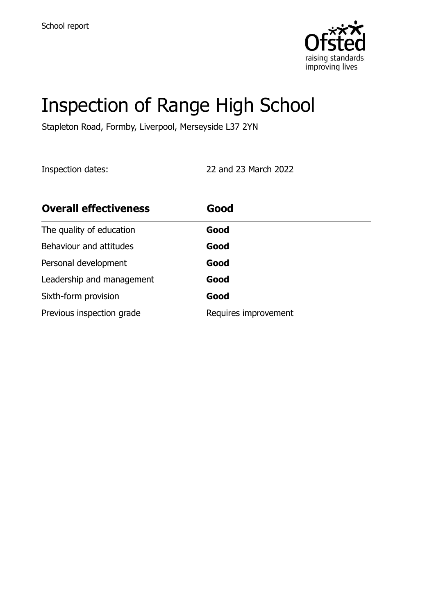

# Inspection of Range High School

Stapleton Road, Formby, Liverpool, Merseyside L37 2YN

Inspection dates: 22 and 23 March 2022

| <b>Overall effectiveness</b> | Good                 |
|------------------------------|----------------------|
| The quality of education     | Good                 |
| Behaviour and attitudes      | Good                 |
| Personal development         | Good                 |
| Leadership and management    | Good                 |
| Sixth-form provision         | Good                 |
| Previous inspection grade    | Requires improvement |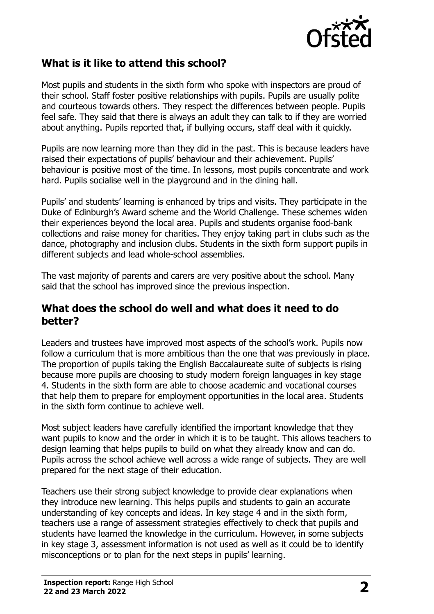

## **What is it like to attend this school?**

Most pupils and students in the sixth form who spoke with inspectors are proud of their school. Staff foster positive relationships with pupils. Pupils are usually polite and courteous towards others. They respect the differences between people. Pupils feel safe. They said that there is always an adult they can talk to if they are worried about anything. Pupils reported that, if bullying occurs, staff deal with it quickly.

Pupils are now learning more than they did in the past. This is because leaders have raised their expectations of pupils' behaviour and their achievement. Pupils' behaviour is positive most of the time. In lessons, most pupils concentrate and work hard. Pupils socialise well in the playground and in the dining hall.

Pupils' and students' learning is enhanced by trips and visits. They participate in the Duke of Edinburgh's Award scheme and the World Challenge. These schemes widen their experiences beyond the local area. Pupils and students organise food-bank collections and raise money for charities. They enjoy taking part in clubs such as the dance, photography and inclusion clubs. Students in the sixth form support pupils in different subjects and lead whole-school assemblies.

The vast majority of parents and carers are very positive about the school. Many said that the school has improved since the previous inspection.

#### **What does the school do well and what does it need to do better?**

Leaders and trustees have improved most aspects of the school's work. Pupils now follow a curriculum that is more ambitious than the one that was previously in place. The proportion of pupils taking the English Baccalaureate suite of subjects is rising because more pupils are choosing to study modern foreign languages in key stage 4. Students in the sixth form are able to choose academic and vocational courses that help them to prepare for employment opportunities in the local area. Students in the sixth form continue to achieve well.

Most subject leaders have carefully identified the important knowledge that they want pupils to know and the order in which it is to be taught. This allows teachers to design learning that helps pupils to build on what they already know and can do. Pupils across the school achieve well across a wide range of subjects. They are well prepared for the next stage of their education.

Teachers use their strong subject knowledge to provide clear explanations when they introduce new learning. This helps pupils and students to gain an accurate understanding of key concepts and ideas. In key stage 4 and in the sixth form, teachers use a range of assessment strategies effectively to check that pupils and students have learned the knowledge in the curriculum. However, in some subjects in key stage 3, assessment information is not used as well as it could be to identify misconceptions or to plan for the next steps in pupils' learning.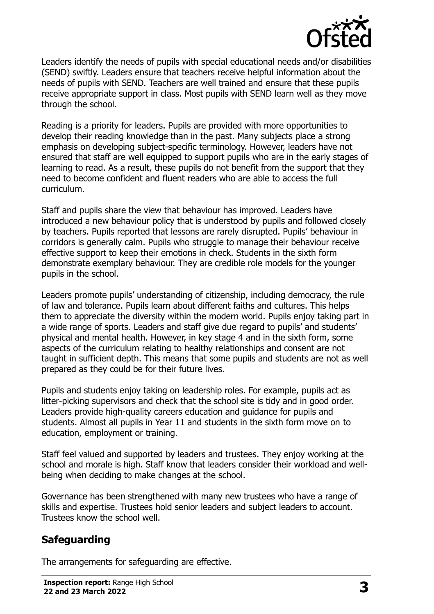

Leaders identify the needs of pupils with special educational needs and/or disabilities (SEND) swiftly. Leaders ensure that teachers receive helpful information about the needs of pupils with SEND. Teachers are well trained and ensure that these pupils receive appropriate support in class. Most pupils with SEND learn well as they move through the school.

Reading is a priority for leaders. Pupils are provided with more opportunities to develop their reading knowledge than in the past. Many subjects place a strong emphasis on developing subject-specific terminology. However, leaders have not ensured that staff are well equipped to support pupils who are in the early stages of learning to read. As a result, these pupils do not benefit from the support that they need to become confident and fluent readers who are able to access the full curriculum.

Staff and pupils share the view that behaviour has improved. Leaders have introduced a new behaviour policy that is understood by pupils and followed closely by teachers. Pupils reported that lessons are rarely disrupted. Pupils' behaviour in corridors is generally calm. Pupils who struggle to manage their behaviour receive effective support to keep their emotions in check. Students in the sixth form demonstrate exemplary behaviour. They are credible role models for the younger pupils in the school.

Leaders promote pupils' understanding of citizenship, including democracy, the rule of law and tolerance. Pupils learn about different faiths and cultures. This helps them to appreciate the diversity within the modern world. Pupils enjoy taking part in a wide range of sports. Leaders and staff give due regard to pupils' and students' physical and mental health. However, in key stage 4 and in the sixth form, some aspects of the curriculum relating to healthy relationships and consent are not taught in sufficient depth. This means that some pupils and students are not as well prepared as they could be for their future lives.

Pupils and students enjoy taking on leadership roles. For example, pupils act as litter-picking supervisors and check that the school site is tidy and in good order. Leaders provide high-quality careers education and guidance for pupils and students. Almost all pupils in Year 11 and students in the sixth form move on to education, employment or training.

Staff feel valued and supported by leaders and trustees. They enjoy working at the school and morale is high. Staff know that leaders consider their workload and wellbeing when deciding to make changes at the school.

Governance has been strengthened with many new trustees who have a range of skills and expertise. Trustees hold senior leaders and subject leaders to account. Trustees know the school well.

# **Safeguarding**

The arrangements for safeguarding are effective.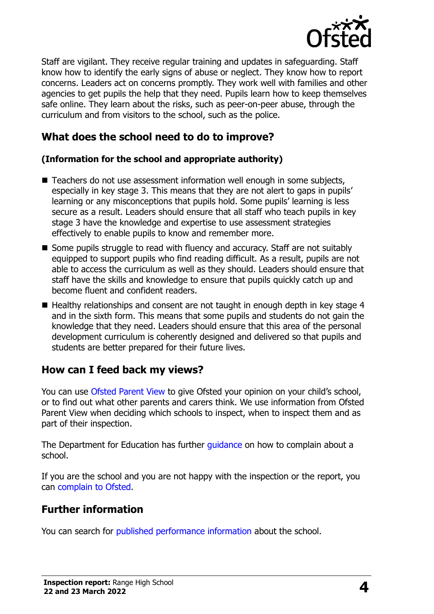

Staff are vigilant. They receive regular training and updates in safeguarding. Staff know how to identify the early signs of abuse or neglect. They know how to report concerns. Leaders act on concerns promptly. They work well with families and other agencies to get pupils the help that they need. Pupils learn how to keep themselves safe online. They learn about the risks, such as peer-on-peer abuse, through the curriculum and from visitors to the school, such as the police.

#### **What does the school need to do to improve?**

#### **(Information for the school and appropriate authority)**

- Teachers do not use assessment information well enough in some subjects, especially in key stage 3. This means that they are not alert to gaps in pupils' learning or any misconceptions that pupils hold. Some pupils' learning is less secure as a result. Leaders should ensure that all staff who teach pupils in key stage 3 have the knowledge and expertise to use assessment strategies effectively to enable pupils to know and remember more.
- Some pupils struggle to read with fluency and accuracy. Staff are not suitably equipped to support pupils who find reading difficult. As a result, pupils are not able to access the curriculum as well as they should. Leaders should ensure that staff have the skills and knowledge to ensure that pupils quickly catch up and become fluent and confident readers.
- Healthy relationships and consent are not taught in enough depth in key stage 4 and in the sixth form. This means that some pupils and students do not gain the knowledge that they need. Leaders should ensure that this area of the personal development curriculum is coherently designed and delivered so that pupils and students are better prepared for their future lives.

## **How can I feed back my views?**

You can use [Ofsted Parent View](http://parentview.ofsted.gov.uk/) to give Ofsted your opinion on your child's school, or to find out what other parents and carers think. We use information from Ofsted Parent View when deciding which schools to inspect, when to inspect them and as part of their inspection.

The Department for Education has further quidance on how to complain about a school.

If you are the school and you are not happy with the inspection or the report, you can [complain to Ofsted.](http://www.gov.uk/complain-ofsted-report)

## **Further information**

You can search for [published performance information](http://www.compare-school-performance.service.gov.uk/) about the school.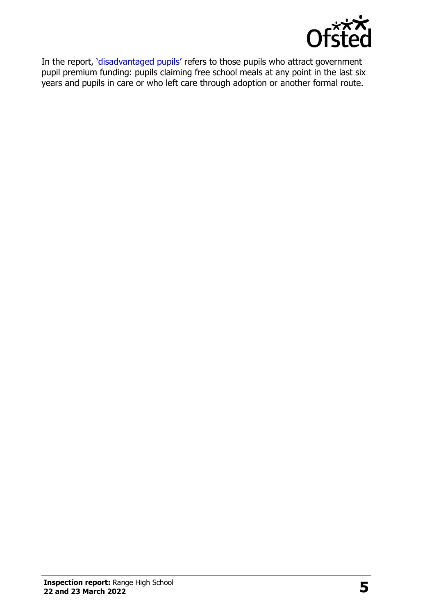

In the report, '[disadvantaged pupils](http://www.gov.uk/guidance/pupil-premium-information-for-schools-and-alternative-provision-settings)' refers to those pupils who attract government pupil premium funding: pupils claiming free school meals at any point in the last six years and pupils in care or who left care through adoption or another formal route.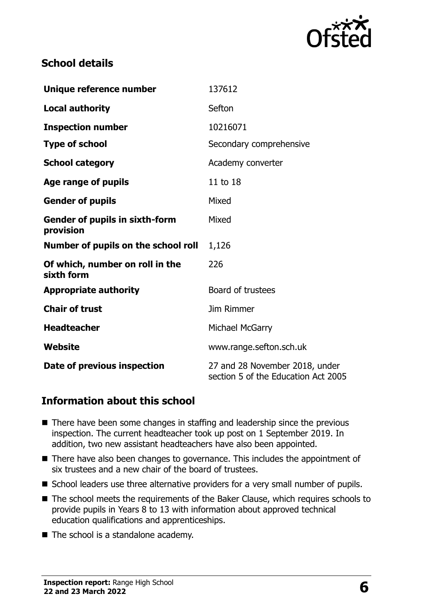

#### **School details**

| Unique reference number                            | 137612                                                                |
|----------------------------------------------------|-----------------------------------------------------------------------|
| <b>Local authority</b>                             | Sefton                                                                |
| <b>Inspection number</b>                           | 10216071                                                              |
| <b>Type of school</b>                              | Secondary comprehensive                                               |
| <b>School category</b>                             | Academy converter                                                     |
| Age range of pupils                                | 11 to 18                                                              |
| <b>Gender of pupils</b>                            | Mixed                                                                 |
| <b>Gender of pupils in sixth-form</b><br>provision | Mixed                                                                 |
| Number of pupils on the school roll                | 1,126                                                                 |
| Of which, number on roll in the<br>sixth form      | 226                                                                   |
| <b>Appropriate authority</b>                       | Board of trustees                                                     |
| <b>Chair of trust</b>                              | <b>Jim Rimmer</b>                                                     |
| <b>Headteacher</b>                                 | Michael McGarry                                                       |
| Website                                            | www.range.sefton.sch.uk                                               |
| Date of previous inspection                        | 27 and 28 November 2018, under<br>section 5 of the Education Act 2005 |

## **Information about this school**

- There have been some changes in staffing and leadership since the previous inspection. The current headteacher took up post on 1 September 2019. In addition, two new assistant headteachers have also been appointed.
- There have also been changes to governance. This includes the appointment of six trustees and a new chair of the board of trustees.
- School leaders use three alternative providers for a very small number of pupils.
- The school meets the requirements of the Baker Clause, which requires schools to provide pupils in Years 8 to 13 with information about approved technical education qualifications and apprenticeships.
- The school is a standalone academy.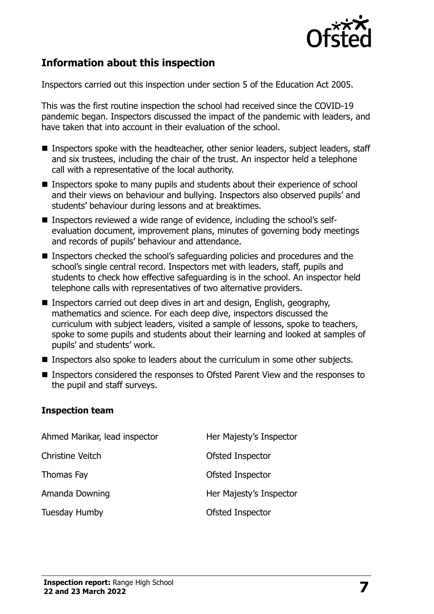

## **Information about this inspection**

Inspectors carried out this inspection under section 5 of the Education Act 2005.

This was the first routine inspection the school had received since the COVID-19 pandemic began. Inspectors discussed the impact of the pandemic with leaders, and have taken that into account in their evaluation of the school.

- Inspectors spoke with the headteacher, other senior leaders, subject leaders, staff and six trustees, including the chair of the trust. An inspector held a telephone call with a representative of the local authority.
- Inspectors spoke to many pupils and students about their experience of school and their views on behaviour and bullying. Inspectors also observed pupils' and students' behaviour during lessons and at breaktimes.
- Inspectors reviewed a wide range of evidence, including the school's selfevaluation document, improvement plans, minutes of governing body meetings and records of pupils' behaviour and attendance.
- Inspectors checked the school's safeguarding policies and procedures and the school's single central record. Inspectors met with leaders, staff, pupils and students to check how effective safeguarding is in the school. An inspector held telephone calls with representatives of two alternative providers.
- Inspectors carried out deep dives in art and design, English, geography, mathematics and science. For each deep dive, inspectors discussed the curriculum with subject leaders, visited a sample of lessons, spoke to teachers, spoke to some pupils and students about their learning and looked at samples of pupils' and students' work.
- Inspectors also spoke to leaders about the curriculum in some other subiects.
- Inspectors considered the responses to Ofsted Parent View and the responses to the pupil and staff surveys.

#### **Inspection team**

| Ahmed Marikar, lead inspector | Her Majesty's Inspector |
|-------------------------------|-------------------------|
| <b>Christine Veitch</b>       | Ofsted Inspector        |
| Thomas Fay                    | Ofsted Inspector        |
| Amanda Downing                | Her Majesty's Inspector |
| Tuesday Humby                 | Ofsted Inspector        |